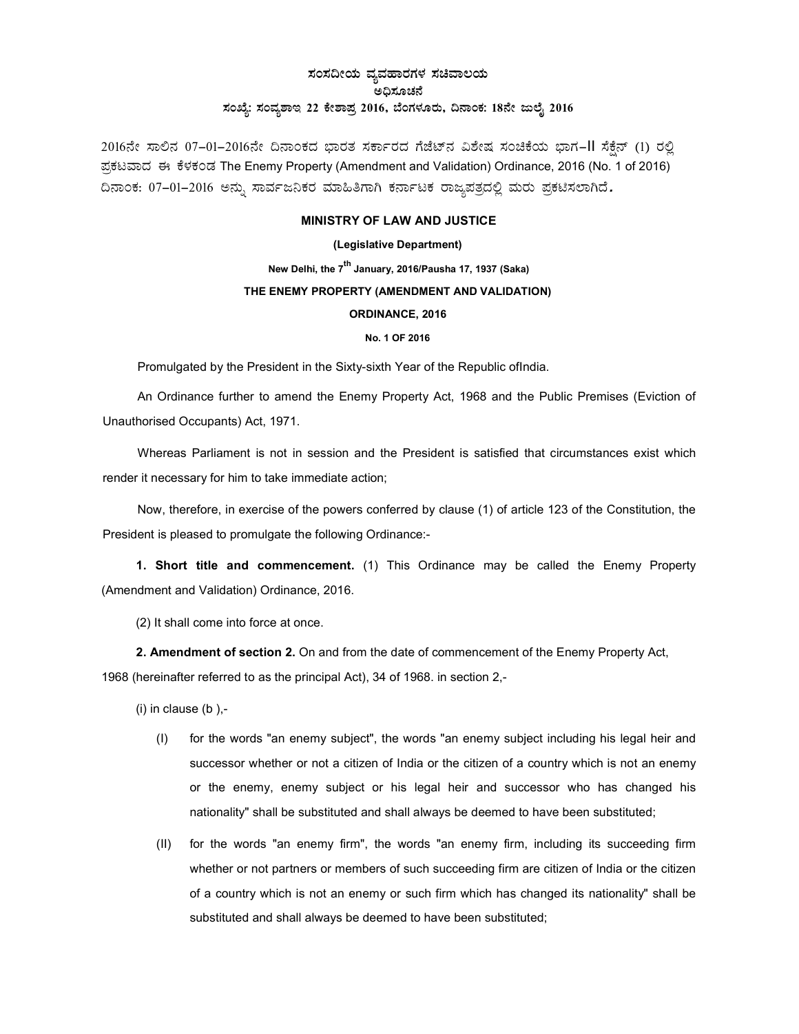## ¸ÀA¸À¢ÃAiÀÄ ªÀåªÀºÁgÀUÀ¼À ¸ÀaªÁ®AiÀÄ ಅಧಿಸೂಚನೆ ಸಂಖ್ಯೆ: ಸಂವ್ಯಶಾಇ 22 ಕೇಶಾಪ್ರ 2016, ಬೆಂಗಳೂರು, ದಿನಾಂಕ: 18ನೇ ಜುಲೈ 2016

2016ನೇ ಸಾಲಿನ 07-01-2016ನೇ ದಿನಾಂಕದ ಭಾರತ ಸರ್ಕಾರದ ಗೆಜೆಟ್ನ ವಿಶೇಷ ಸಂಚಿಕೆಯ ಭಾಗ–II ಸೆಕ್ಷೆನ್ (1) ರಲ್ಲಿ ಪ್ರಕಟವಾದ ಈ ಕೆಳಕಂಡ The Enemy Property (Amendment and Validation) Ordinance, 2016 (No. 1 of 2016) ದಿನಾಂಕ: 07-01-2016 ಅನ್ನು ಸಾರ್ವಜನಿಕರ ಮಾಹಿತಿಗಾಗಿ ಕರ್ನಾಟಕ ರಾಜ್ಯಪತ್ರದಲ್ಲಿ ಮರು ಪ್ರಕಟಿಸಲಾಗಿದೆ.

## MINISTRY OF LAW AND JUSTICE

## (Legislative Department)

New Delhi, the 7<sup>th</sup> January, 2016/Pausha 17, 1937 (Saka) THE ENEMY PROPERTY (AMENDMENT AND VALIDATION) ORDINANCE, 2016

## No. 1 OF 2016

Promulgated by the President in the Sixty-sixth Year of the Republic ofIndia.

An Ordinance further to amend the Enemy Property Act, 1968 and the Public Premises (Eviction of Unauthorised Occupants) Act, 1971.

Whereas Parliament is not in session and the President is satisfied that circumstances exist which render it necessary for him to take immediate action;

Now, therefore, in exercise of the powers conferred by clause (1) of article 123 of the Constitution, the President is pleased to promulgate the following Ordinance:-

1. Short title and commencement. (1) This Ordinance may be called the Enemy Property (Amendment and Validation) Ordinance, 2016.

(2) It shall come into force at once.

2. Amendment of section 2. On and from the date of commencement of the Enemy Property Act,

1968 (hereinafter referred to as the principal Act), 34 of 1968. in section 2,-

 $(i)$  in clause  $(b)$ ,-

- (I) for the words "an enemy subject", the words "an enemy subject including his legal heir and successor whether or not a citizen of India or the citizen of a country which is not an enemy or the enemy, enemy subject or his legal heir and successor who has changed his nationality" shall be substituted and shall always be deemed to have been substituted;
- (II) for the words "an enemy firm", the words "an enemy firm, including its succeeding firm whether or not partners or members of such succeeding firm are citizen of India or the citizen of a country which is not an enemy or such firm which has changed its nationality" shall be substituted and shall always be deemed to have been substituted;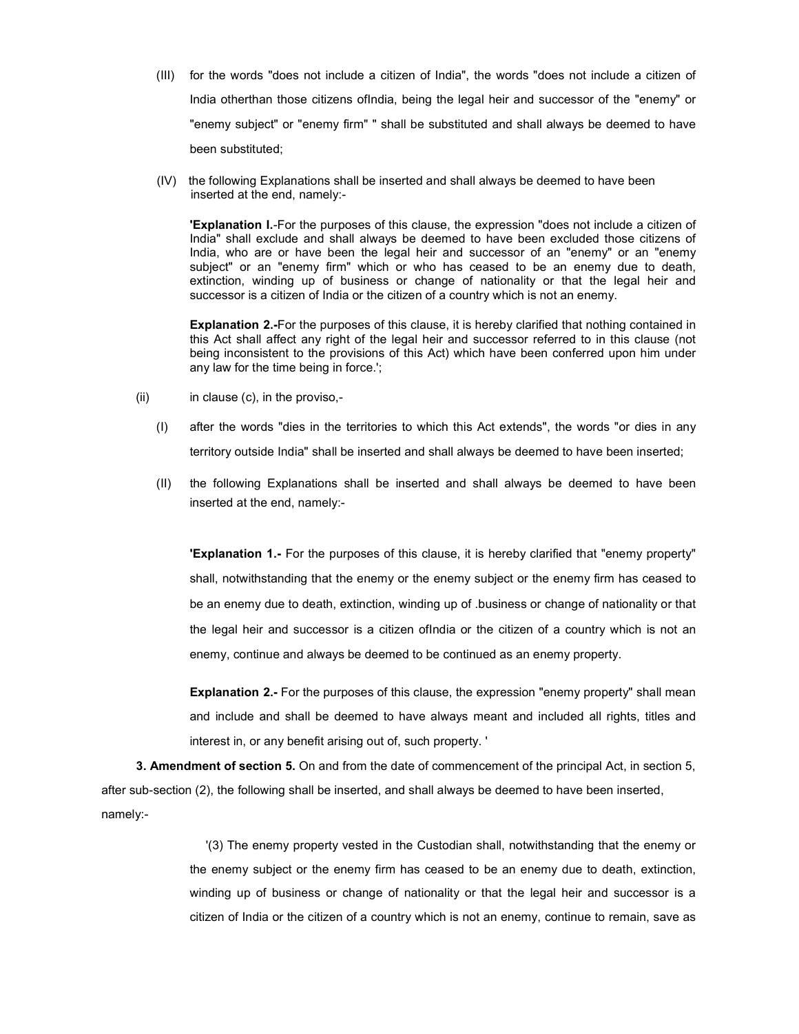- (III) for the words "does not include a citizen of India", the words "does not include a citizen of India otherthan those citizens ofIndia, being the legal heir and successor of the "enemy" or "enemy subject" or "enemy firm" " shall be substituted and shall always be deemed to have been substituted;
- (IV) the following Explanations shall be inserted and shall always be deemed to have been inserted at the end, namely:-

'Explanation I.-For the purposes of this clause, the expression "does not include a citizen of India" shall exclude and shall always be deemed to have been excluded those citizens of India, who are or have been the legal heir and successor of an "enemy" or an "enemy subject" or an "enemy firm" which or who has ceased to be an enemy due to death, extinction, winding up of business or change of nationality or that the legal heir and successor is a citizen of India or the citizen of a country which is not an enemy.

Explanation 2.-For the purposes of this clause, it is hereby clarified that nothing contained in this Act shall affect any right of the legal heir and successor referred to in this clause (not being inconsistent to the provisions of this Act) which have been conferred upon him under any law for the time being in force.';

- $(ii)$  in clause  $(c)$ , in the proviso,-
	- (I) after the words "dies in the territories to which this Act extends", the words "or dies in any territory outside India" shall be inserted and shall always be deemed to have been inserted;
	- (II) the following Explanations shall be inserted and shall always be deemed to have been inserted at the end, namely:-

'Explanation 1.- For the purposes of this clause, it is hereby clarified that "enemy property" shall, notwithstanding that the enemy or the enemy subject or the enemy firm has ceased to be an enemy due to death, extinction, winding up of .business or change of nationality or that the legal heir and successor is a citizen ofIndia or the citizen of a country which is not an enemy, continue and always be deemed to be continued as an enemy property.

**Explanation 2.-** For the purposes of this clause, the expression "enemy property" shall mean and include and shall be deemed to have always meant and included all rights, titles and interest in, or any benefit arising out of, such property. '

3. Amendment of section 5. On and from the date of commencement of the principal Act, in section 5, after sub-section (2), the following shall be inserted, and shall always be deemed to have been inserted, namely:-

> '(3) The enemy property vested in the Custodian shall, notwithstanding that the enemy or the enemy subject or the enemy firm has ceased to be an enemy due to death, extinction, winding up of business or change of nationality or that the legal heir and successor is a citizen of India or the citizen of a country which is not an enemy, continue to remain, save as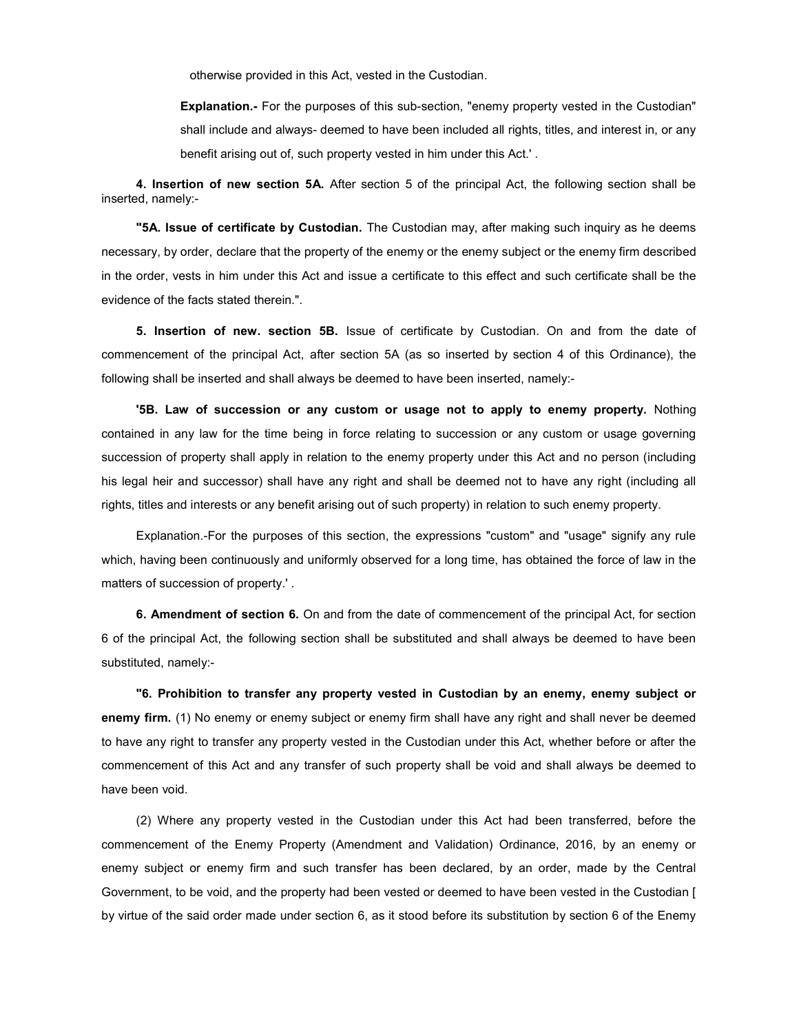otherwise provided in this Act, vested in the Custodian.

Explanation.- For the purposes of this sub-section, "enemy property vested in the Custodian" shall include and always- deemed to have been included all rights, titles, and interest in, or any benefit arising out of, such property vested in him under this Act.' .

4. Insertion of new section 5A. After section 5 of the principal Act, the following section shall be inserted, namely:-

"5A. Issue of certificate by Custodian. The Custodian may, after making such inquiry as he deems necessary, by order, declare that the property of the enemy or the enemy subject or the enemy firm described in the order, vests in him under this Act and issue a certificate to this effect and such certificate shall be the evidence of the facts stated therein.".

5. Insertion of new. section 5B. Issue of certificate by Custodian. On and from the date of commencement of the principal Act, after section 5A (as so inserted by section 4 of this Ordinance), the following shall be inserted and shall always be deemed to have been inserted, namely:-

'5B. Law of succession or any custom or usage not to apply to enemy property. Nothing contained in any law for the time being in force relating to succession or any custom or usage governing succession of property shall apply in relation to the enemy property under this Act and no person (including his legal heir and successor) shall have any right and shall be deemed not to have any right (including all rights, titles and interests or any benefit arising out of such property) in relation to such enemy property.

Explanation.-For the purposes of this section, the expressions "custom" and "usage" signify any rule which, having been continuously and uniformly observed for a long time, has obtained the force of law in the matters of succession of property.' .

6. Amendment of section 6. On and from the date of commencement of the principal Act, for section 6 of the principal Act, the following section shall be substituted and shall always be deemed to have been substituted, namely:-

"6. Prohibition to transfer any property vested in Custodian by an enemy, enemy subject or enemy firm. (1) No enemy or enemy subject or enemy firm shall have any right and shall never be deemed to have any right to transfer any property vested in the Custodian under this Act, whether before or after the commencement of this Act and any transfer of such property shall be void and shall always be deemed to have been void.

(2) Where any property vested in the Custodian under this Act had been transferred, before the commencement of the Enemy Property (Amendment and Validation) Ordinance, 2016, by an enemy or enemy subject or enemy firm and such transfer has been declared, by an order, made by the Central Government, to be void, and the property had been vested or deemed to have been vested in the Custodian [ by virtue of the said order made under section 6, as it stood before its substitution by section 6 of the Enemy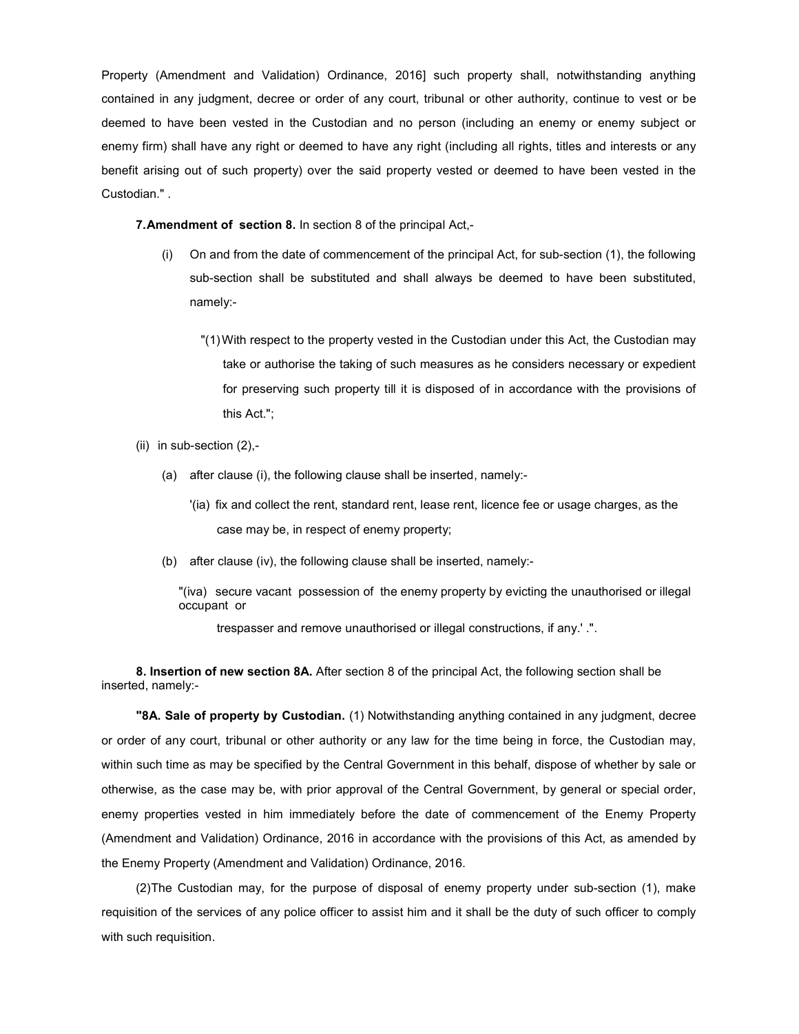Property (Amendment and Validation) Ordinance, 2016] such property shall, notwithstanding anything contained in any judgment, decree or order of any court, tribunal or other authority, continue to vest or be deemed to have been vested in the Custodian and no person (including an enemy or enemy subject or enemy firm) shall have any right or deemed to have any right (including all rights, titles and interests or any benefit arising out of such property) over the said property vested or deemed to have been vested in the Custodian." .

7. Amendment of section 8. In section 8 of the principal Act,-

- (i) On and from the date of commencement of the principal Act, for sub-section (1), the following sub-section shall be substituted and shall always be deemed to have been substituted, namely:-
	- "(1) With respect to the property vested in the Custodian under this Act, the Custodian may take or authorise the taking of such measures as he considers necessary or expedient for preserving such property till it is disposed of in accordance with the provisions of this Act.";
- (ii) in sub-section (2),-
	- (a) after clause (i), the following clause shall be inserted, namely:-
		- '(ia) fix and collect the rent, standard rent, lease rent, licence fee or usage charges, as the case may be, in respect of enemy property;
	- (b) after clause (iv), the following clause shall be inserted, namely:-

"(iva) secure vacant possession of the enemy property by evicting the unauthorised or illegal occupant or

trespasser and remove unauthorised or illegal constructions, if any.' .".

8. Insertion of new section 8A. After section 8 of the principal Act, the following section shall be inserted, namely:-

"8A. Sale of property by Custodian. (1) Notwithstanding anything contained in any judgment, decree or order of any court, tribunal or other authority or any law for the time being in force, the Custodian may, within such time as may be specified by the Central Government in this behalf, dispose of whether by sale or otherwise, as the case may be, with prior approval of the Central Government, by general or special order, enemy properties vested in him immediately before the date of commencement of the Enemy Property (Amendment and Validation) Ordinance, 2016 in accordance with the provisions of this Act, as amended by the Enemy Property (Amendment and Validation) Ordinance, 2016.

(2) The Custodian may, for the purpose of disposal of enemy property under sub-section (1), make requisition of the services of any police officer to assist him and it shall be the duty of such officer to comply with such requisition.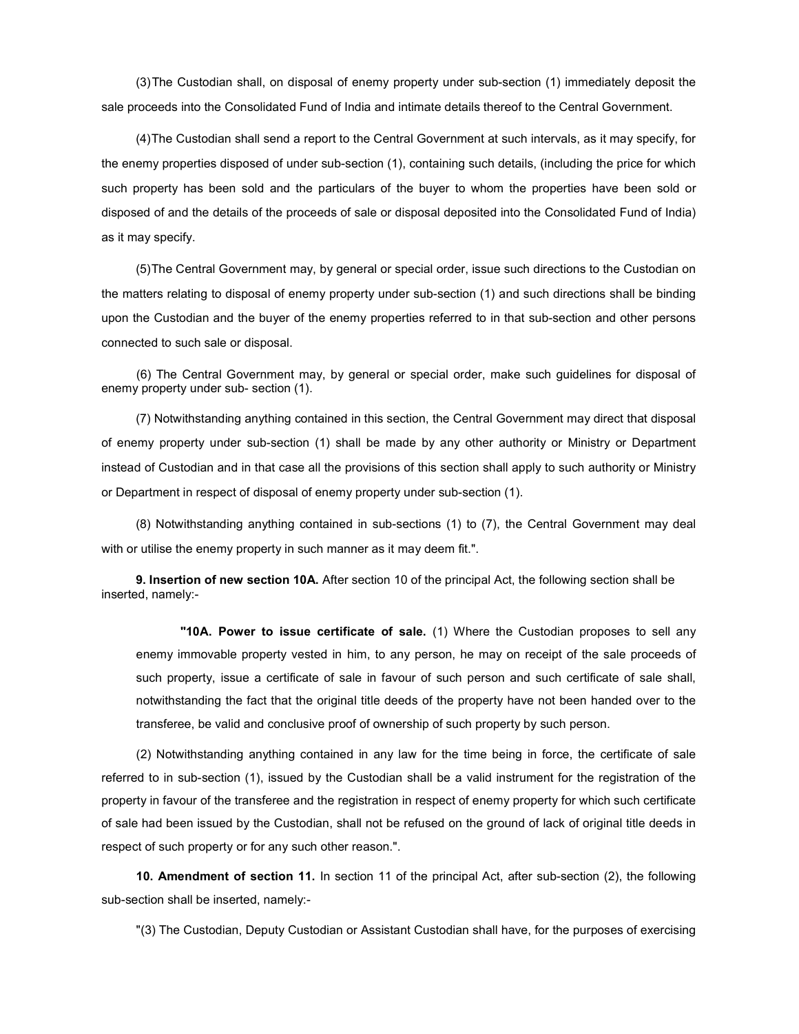(3) The Custodian shall, on disposal of enemy property under sub-section (1) immediately deposit the sale proceeds into the Consolidated Fund of India and intimate details thereof to the Central Government.

(4) The Custodian shall send a report to the Central Government at such intervals, as it may specify, for the enemy properties disposed of under sub-section (1), containing such details, (including the price for which such property has been sold and the particulars of the buyer to whom the properties have been sold or disposed of and the details of the proceeds of sale or disposal deposited into the Consolidated Fund of India) as it may specify.

(5) The Central Government may, by general or special order, issue such directions to the Custodian on the matters relating to disposal of enemy property under sub-section (1) and such directions shall be binding upon the Custodian and the buyer of the enemy properties referred to in that sub-section and other persons connected to such sale or disposal.

 (6) The Central Government may, by general or special order, make such guidelines for disposal of enemy property under sub- section (1).

(7) Notwithstanding anything contained in this section, the Central Government may direct that disposal of enemy property under sub-section (1) shall be made by any other authority or Ministry or Department instead of Custodian and in that case all the provisions of this section shall apply to such authority or Ministry or Department in respect of disposal of enemy property under sub-section (1).

(8) Notwithstanding anything contained in sub-sections (1) to (7), the Central Government may deal with or utilise the enemy property in such manner as it may deem fit.".

9. Insertion of new section 10A. After section 10 of the principal Act, the following section shall be inserted, namely:-

"10A. Power to issue certificate of sale. (1) Where the Custodian proposes to sell any enemy immovable property vested in him, to any person, he may on receipt of the sale proceeds of such property, issue a certificate of sale in favour of such person and such certificate of sale shall, notwithstanding the fact that the original title deeds of the property have not been handed over to the transferee, be valid and conclusive proof of ownership of such property by such person.

(2) Notwithstanding anything contained in any law for the time being in force, the certificate of sale referred to in sub-section (1), issued by the Custodian shall be a valid instrument for the registration of the property in favour of the transferee and the registration in respect of enemy property for which such certificate of sale had been issued by the Custodian, shall not be refused on the ground of lack of original title deeds in respect of such property or for any such other reason.".

10. Amendment of section 11. In section 11 of the principal Act, after sub-section (2), the following sub-section shall be inserted, namely:-

"(3) The Custodian, Deputy Custodian or Assistant Custodian shall have, for the purposes of exercising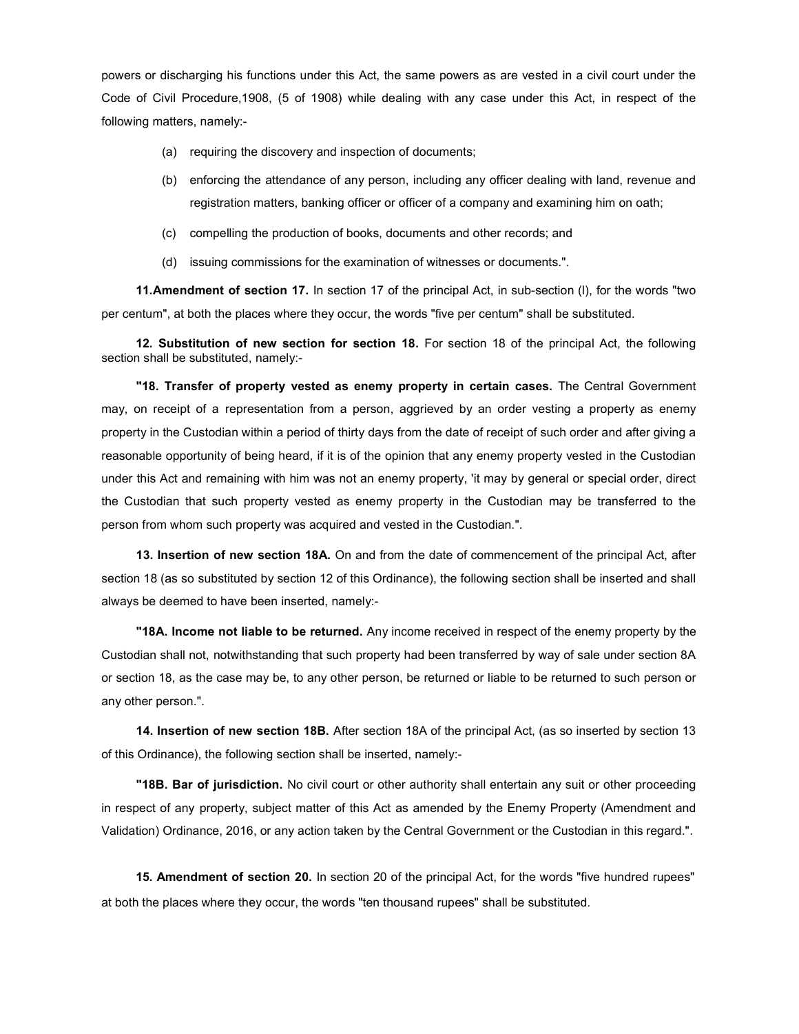powers or discharging his functions under this Act, the same powers as are vested in a civil court under the Code of Civil Procedure,1908, (5 of 1908) while dealing with any case under this Act, in respect of the following matters, namely:-

- (a) requiring the discovery and inspection of documents;
- (b) enforcing the attendance of any person, including any officer dealing with land, revenue and registration matters, banking officer or officer of a company and examining him on oath;
- (c) compelling the production of books, documents and other records; and
- (d) issuing commissions for the examination of witnesses or documents.".

11. Amendment of section 17. In section 17 of the principal Act, in sub-section (l), for the words "two per centum", at both the places where they occur, the words "five per centum" shall be substituted.

12. Substitution of new section for section 18. For section 18 of the principal Act, the following section shall be substituted, namely:-

"18. Transfer of property vested as enemy property in certain cases. The Central Government may, on receipt of a representation from a person, aggrieved by an order vesting a property as enemy property in the Custodian within a period of thirty days from the date of receipt of such order and after giving a reasonable opportunity of being heard, if it is of the opinion that any enemy property vested in the Custodian under this Act and remaining with him was not an enemy property, 'it may by general or special order, direct the Custodian that such property vested as enemy property in the Custodian may be transferred to the person from whom such property was acquired and vested in the Custodian.".

13. Insertion of new section 18A. On and from the date of commencement of the principal Act, after section 18 (as so substituted by section 12 of this Ordinance), the following section shall be inserted and shall always be deemed to have been inserted, namely:-

"18A. Income not liable to be returned. Any income received in respect of the enemy property by the Custodian shall not, notwithstanding that such property had been transferred by way of sale under section 8A or section 18, as the case may be, to any other person, be returned or liable to be returned to such person or any other person.".

14. Insertion of new section 18B. After section 18A of the principal Act, (as so inserted by section 13 of this Ordinance), the following section shall be inserted, namely:-

"18B. Bar of jurisdiction. No civil court or other authority shall entertain any suit or other proceeding in respect of any property, subject matter of this Act as amended by the Enemy Property (Amendment and Validation) Ordinance, 2016, or any action taken by the Central Government or the Custodian in this regard.".

15. Amendment of section 20. In section 20 of the principal Act, for the words "five hundred rupees" at both the places where they occur, the words "ten thousand rupees" shall be substituted.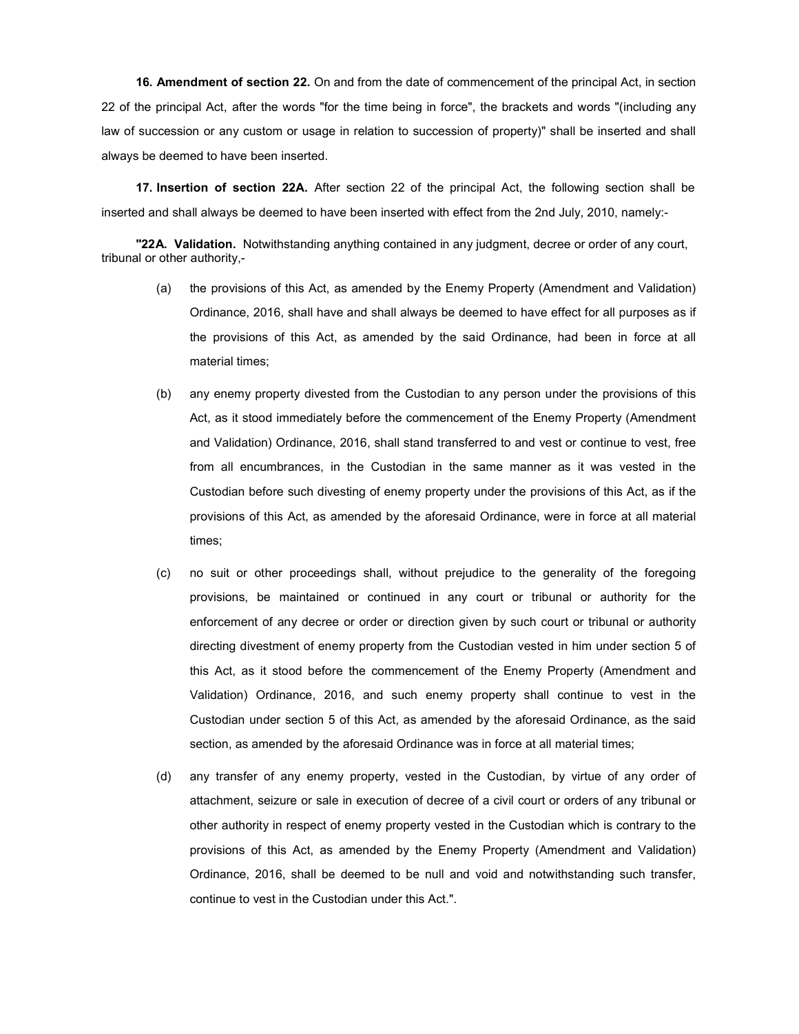16. Amendment of section 22. On and from the date of commencement of the principal Act, in section 22 of the principal Act, after the words "for the time being in force", the brackets and words "(including any law of succession or any custom or usage in relation to succession of property)" shall be inserted and shall always be deemed to have been inserted.

17. Insertion of section 22A. After section 22 of the principal Act, the following section shall be inserted and shall always be deemed to have been inserted with effect from the 2nd July, 2010, namely:-

"22A. Validation. Notwithstanding anything contained in any judgment, decree or order of any court, tribunal or other authority,-

- (a) the provisions of this Act, as amended by the Enemy Property (Amendment and Validation) Ordinance, 2016, shall have and shall always be deemed to have effect for all purposes as if the provisions of this Act, as amended by the said Ordinance, had been in force at all material times;
- (b) any enemy property divested from the Custodian to any person under the provisions of this Act, as it stood immediately before the commencement of the Enemy Property (Amendment and Validation) Ordinance, 2016, shall stand transferred to and vest or continue to vest, free from all encumbrances, in the Custodian in the same manner as it was vested in the Custodian before such divesting of enemy property under the provisions of this Act, as if the provisions of this Act, as amended by the aforesaid Ordinance, were in force at all material times;
- (c) no suit or other proceedings shall, without prejudice to the generality of the foregoing provisions, be maintained or continued in any court or tribunal or authority for the enforcement of any decree or order or direction given by such court or tribunal or authority directing divestment of enemy property from the Custodian vested in him under section 5 of this Act, as it stood before the commencement of the Enemy Property (Amendment and Validation) Ordinance, 2016, and such enemy property shall continue to vest in the Custodian under section 5 of this Act, as amended by the aforesaid Ordinance, as the said section, as amended by the aforesaid Ordinance was in force at all material times;
- (d) any transfer of any enemy property, vested in the Custodian, by virtue of any order of attachment, seizure or sale in execution of decree of a civil court or orders of any tribunal or other authority in respect of enemy property vested in the Custodian which is contrary to the provisions of this Act, as amended by the Enemy Property (Amendment and Validation) Ordinance, 2016, shall be deemed to be null and void and notwithstanding such transfer, continue to vest in the Custodian under this Act.".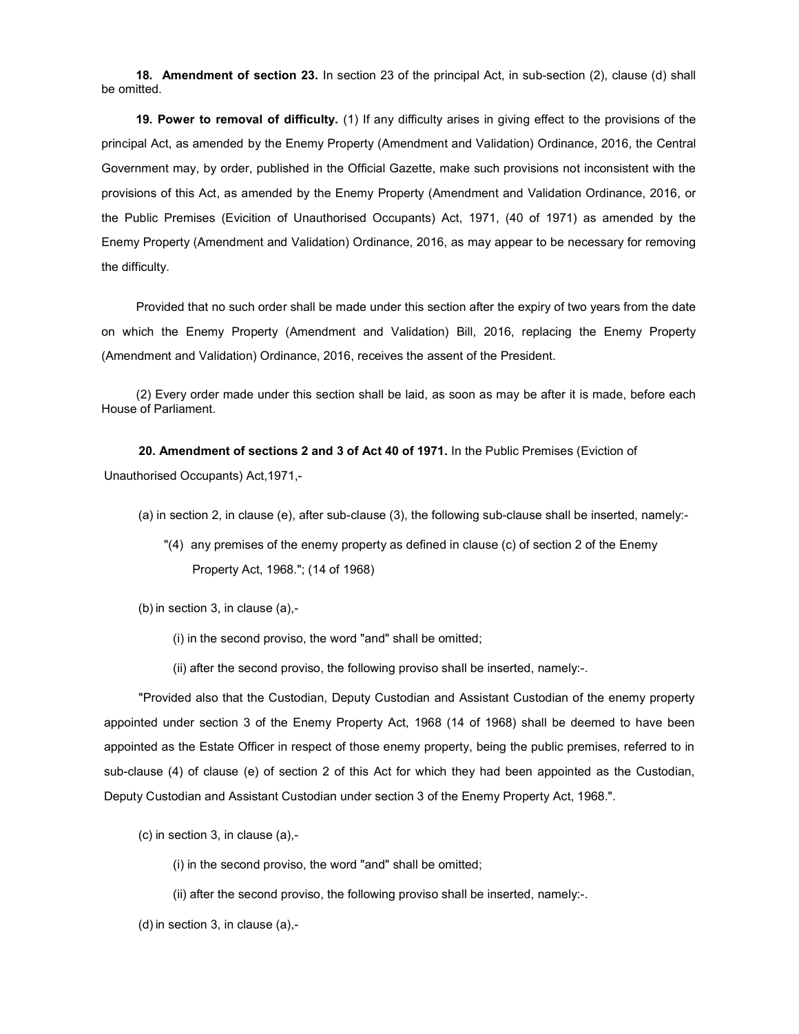18. Amendment of section 23. In section 23 of the principal Act, in sub-section (2), clause (d) shall be omitted.

19. Power to removal of difficulty. (1) If any difficulty arises in giving effect to the provisions of the principal Act, as amended by the Enemy Property (Amendment and Validation) Ordinance, 2016, the Central Government may, by order, published in the Official Gazette, make such provisions not inconsistent with the provisions of this Act, as amended by the Enemy Property (Amendment and Validation Ordinance, 2016, or the Public Premises (Evicition of Unauthorised Occupants) Act, 1971, (40 of 1971) as amended by the Enemy Property (Amendment and Validation) Ordinance, 2016, as may appear to be necessary for removing the difficulty.

Provided that no such order shall be made under this section after the expiry of two years from the date on which the Enemy Property (Amendment and Validation) Bill, 2016, replacing the Enemy Property (Amendment and Validation) Ordinance, 2016, receives the assent of the President.

(2) Every order made under this section shall be laid, as soon as may be after it is made, before each House of Parliament.

20. Amendment of sections 2 and 3 of Act 40 of 1971. In the Public Premises (Eviction of Unauthorised Occupants) Act,1971,-

(a) in section 2, in clause (e), after sub-clause (3), the following sub-clause shall be inserted, namely:-

"(4) any premises of the enemy property as defined in clause (c) of section 2 of the Enemy Property Act, 1968."; (14 of 1968)

(b) in section 3, in clause (a),-

(i) in the second proviso, the word "and" shall be omitted;

(ii) after the second proviso, the following proviso shall be inserted, namely:-.

"Provided also that the Custodian, Deputy Custodian and Assistant Custodian of the enemy property appointed under section 3 of the Enemy Property Act, 1968 (14 of 1968) shall be deemed to have been appointed as the Estate Officer in respect of those enemy property, being the public premises, referred to in sub-clause (4) of clause (e) of section 2 of this Act for which they had been appointed as the Custodian, Deputy Custodian and Assistant Custodian under section 3 of the Enemy Property Act, 1968.".

(c) in section 3, in clause (a),-

(i) in the second proviso, the word "and" shall be omitted;

(ii) after the second proviso, the following proviso shall be inserted, namely:-.

(d) in section 3, in clause (a),-